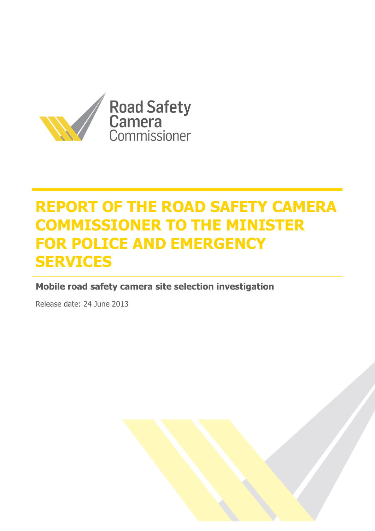

# **REPORT OF THE ROAD SAFETY CAMERA COMMISSIONER TO THE MINISTER FOR POLICE AND EMERGENCY SERVICES**

**Mobile road safety camera site selection investigation**

Release date: 24 June 2013

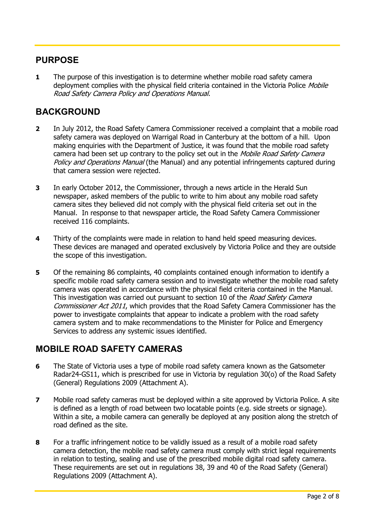## **PURPOSE**

**1** The purpose of this investigation is to determine whether mobile road safety camera deployment complies with the physical field criteria contained in the Victoria Police Mobile Road Safety Camera Policy and Operations Manual.

## **BACKGROUND**

- **2** In July 2012, the Road Safety Camera Commissioner received a complaint that a mobile road safety camera was deployed on Warrigal Road in Canterbury at the bottom of a hill. Upon making enquiries with the Department of Justice, it was found that the mobile road safety camera had been set up contrary to the policy set out in the *Mobile Road Safety Camera* Policy and Operations Manual (the Manual) and any potential infringements captured during that camera session were rejected.
- **3** In early October 2012, the Commissioner, through a news article in the Herald Sun newspaper, asked members of the public to write to him about any mobile road safety camera sites they believed did not comply with the physical field criteria set out in the Manual. In response to that newspaper article, the Road Safety Camera Commissioner received 116 complaints.
- **4** Thirty of the complaints were made in relation to hand held speed measuring devices. These devices are managed and operated exclusively by Victoria Police and they are outside the scope of this investigation.
- **5** Of the remaining 86 complaints, 40 complaints contained enough information to identify a specific mobile road safety camera session and to investigate whether the mobile road safety camera was operated in accordance with the physical field criteria contained in the Manual. This investigation was carried out pursuant to section 10 of the *Road Safety Camera* Commissioner Act 2011, which provides that the Road Safety Camera Commissioner has the power to investigate complaints that appear to indicate a problem with the road safety camera system and to make recommendations to the Minister for Police and Emergency Services to address any systemic issues identified.

## **MOBILE ROAD SAFETY CAMERAS**

- **6** The State of Victoria uses a type of mobile road safety camera known as the Gatsometer Radar24-GS11, which is prescribed for use in Victoria by regulation 30(o) of the Road Safety (General) Regulations 2009 (Attachment A).
- **7** Mobile road safety cameras must be deployed within a site approved by Victoria Police. A site is defined as a length of road between two locatable points (e.g. side streets or signage). Within a site, a mobile camera can generally be deployed at any position along the stretch of road defined as the site.
- **8** For a traffic infringement notice to be validly issued as a result of a mobile road safety camera detection, the mobile road safety camera must comply with strict legal requirements in relation to testing, sealing and use of the prescribed mobile digital road safety camera. These requirements are set out in regulations 38, 39 and 40 of the Road Safety (General) Regulations 2009 (Attachment A).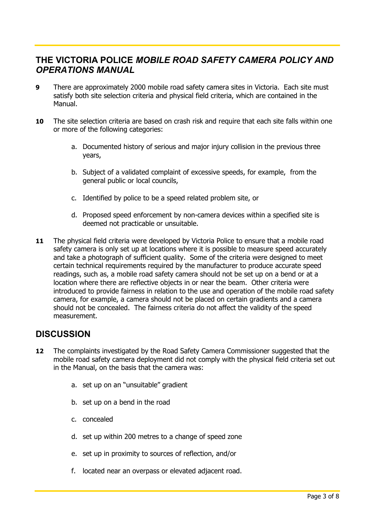## **THE VICTORIA POLICE** *MOBILE ROAD SAFETY CAMERA POLICY AND OPERATIONS MANUAL*

- **9** There are approximately 2000 mobile road safety camera sites in Victoria. Each site must satisfy both site selection criteria and physical field criteria, which are contained in the Manual.
- **10** The site selection criteria are based on crash risk and require that each site falls within one or more of the following categories:
	- a. Documented history of serious and major injury collision in the previous three years,
	- b. Subject of a validated complaint of excessive speeds, for example, from the general public or local councils,
	- c. Identified by police to be a speed related problem site, or
	- d. Proposed speed enforcement by non-camera devices within a specified site is deemed not practicable or unsuitable.
- **11** The physical field criteria were developed by Victoria Police to ensure that a mobile road safety camera is only set up at locations where it is possible to measure speed accurately and take a photograph of sufficient quality. Some of the criteria were designed to meet certain technical requirements required by the manufacturer to produce accurate speed readings, such as, a mobile road safety camera should not be set up on a bend or at a location where there are reflective objects in or near the beam. Other criteria were introduced to provide fairness in relation to the use and operation of the mobile road safety camera, for example, a camera should not be placed on certain gradients and a camera should not be concealed. The fairness criteria do not affect the validity of the speed measurement.

#### **DISCUSSION**

- **12** The complaints investigated by the Road Safety Camera Commissioner suggested that the mobile road safety camera deployment did not comply with the physical field criteria set out in the Manual, on the basis that the camera was:
	- a. set up on an "unsuitable" gradient
	- b. set up on a bend in the road
	- c. concealed
	- d. set up within 200 metres to a change of speed zone
	- e. set up in proximity to sources of reflection, and/or
	- f. located near an overpass or elevated adjacent road.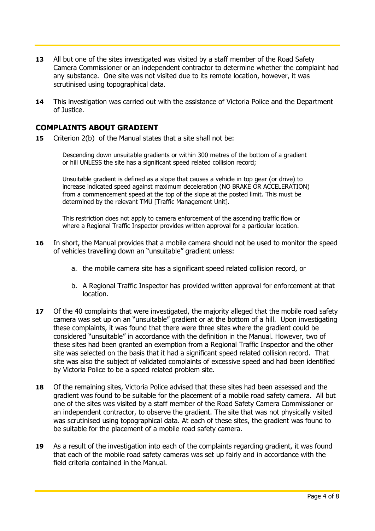- **13** All but one of the sites investigated was visited by a staff member of the Road Safety Camera Commissioner or an independent contractor to determine whether the complaint had any substance. One site was not visited due to its remote location, however, it was scrutinised using topographical data.
- **14** This investigation was carried out with the assistance of Victoria Police and the Department of Justice.

#### **COMPLAINTS ABOUT GRADIENT**

**15** Criterion 2(b) of the Manual states that a site shall not be:

Descending down unsuitable gradients or within 300 metres of the bottom of a gradient or hill UNLESS the site has a significant speed related collision record;

Unsuitable gradient is defined as a slope that causes a vehicle in top gear (or drive) to increase indicated speed against maximum deceleration (NO BRAKE OR ACCELERATION) from a commencement speed at the top of the slope at the posted limit. This must be determined by the relevant TMU [Traffic Management Unit].

This restriction does not apply to camera enforcement of the ascending traffic flow or where a Regional Traffic Inspector provides written approval for a particular location.

- **16** In short, the Manual provides that a mobile camera should not be used to monitor the speed of vehicles travelling down an "unsuitable" gradient unless:
	- a. the mobile camera site has a significant speed related collision record, or
	- b. A Regional Traffic Inspector has provided written approval for enforcement at that location.
- **17** Of the 40 complaints that were investigated, the majority alleged that the mobile road safety camera was set up on an "unsuitable" gradient or at the bottom of a hill. Upon investigating these complaints, it was found that there were three sites where the gradient could be considered "unsuitable" in accordance with the definition in the Manual. However, two of these sites had been granted an exemption from a Regional Traffic Inspector and the other site was selected on the basis that it had a significant speed related collision record. That site was also the subject of validated complaints of excessive speed and had been identified by Victoria Police to be a speed related problem site.
- **18** Of the remaining sites, Victoria Police advised that these sites had been assessed and the gradient was found to be suitable for the placement of a mobile road safety camera. All but one of the sites was visited by a staff member of the Road Safety Camera Commissioner or an independent contractor, to observe the gradient. The site that was not physically visited was scrutinised using topographical data. At each of these sites, the gradient was found to be suitable for the placement of a mobile road safety camera.
- **19** As a result of the investigation into each of the complaints regarding gradient, it was found that each of the mobile road safety cameras was set up fairly and in accordance with the field criteria contained in the Manual.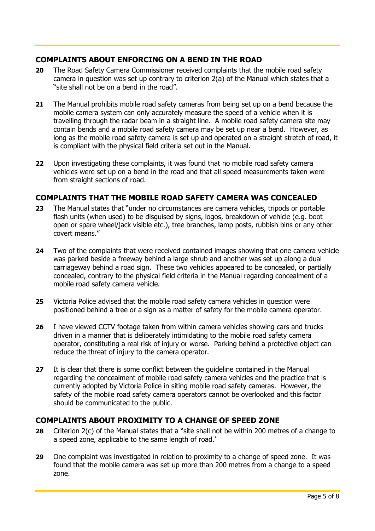#### **COMPLAINTS ABOUT ENFORCING ON A BEND IN THE ROAD**

- **20** The Road Safety Camera Commissioner received complaints that the mobile road safety camera in question was set up contrary to criterion 2(a) of the Manual which states that a "site shall not be on a bend in the road".
- **21** The Manual prohibits mobile road safety cameras from being set up on a bend because the mobile camera system can only accurately measure the speed of a vehicle when it is travelling through the radar beam in a straight line. A mobile road safety camera site may contain bends and a mobile road safety camera may be set up near a bend. However, as long as the mobile road safety camera is set up and operated on a straight stretch of road, it is compliant with the physical field criteria set out in the Manual.
- **22** Upon investigating these complaints, it was found that no mobile road safety camera vehicles were set up on a bend in the road and that all speed measurements taken were from straight sections of road.

#### **COMPLAINTS THAT THE MOBILE ROAD SAFETY CAMERA WAS CONCEALED**

- **23** The Manual states that "under no circumstances are camera vehicles, tripods or portable flash units (when used) to be disguised by signs, logos, breakdown of vehicle (e.g. boot open or spare wheel/jack visible etc.), tree branches, lamp posts, rubbish bins or any other covert means."
- **24** Two of the complaints that were received contained images showing that one camera vehicle was parked beside a freeway behind a large shrub and another was set up along a dual carriageway behind a road sign. These two vehicles appeared to be concealed, or partially concealed, contrary to the physical field criteria in the Manual regarding concealment of a mobile road safety camera vehicle.
- **25** Victoria Police advised that the mobile road safety camera vehicles in question were positioned behind a tree or a sign as a matter of safety for the mobile camera operator.
- **26** I have viewed CCTV footage taken from within camera vehicles showing cars and trucks driven in a manner that is deliberately intimidating to the mobile road safety camera operator, constituting a real risk of injury or worse. Parking behind a protective object can reduce the threat of injury to the camera operator.
- **27** It is clear that there is some conflict between the guideline contained in the Manual regarding the concealment of mobile road safety camera vehicles and the practice that is currently adopted by Victoria Police in siting mobile road safety cameras. However, the safety of the mobile road safety camera operators cannot be overlooked and this factor should be communicated to the public.

#### **COMPLAINTS ABOUT PROXIMITY TO A CHANGE OF SPEED ZONE**

- **28** Criterion 2(c) of the Manual states that a "site shall not be within 200 metres of a change to a speed zone, applicable to the same length of road.'
- **29** One complaint was investigated in relation to proximity to a change of speed zone. It was found that the mobile camera was set up more than 200 metres from a change to a speed zone.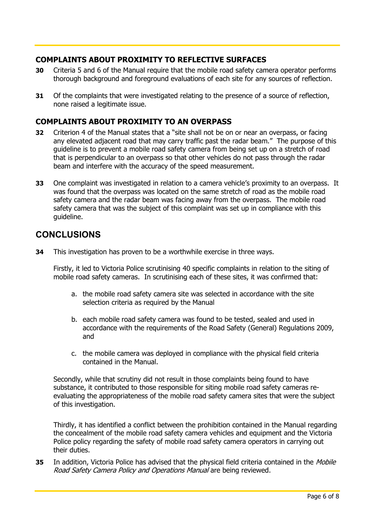#### **COMPLAINTS ABOUT PROXIMITY TO REFLECTIVE SURFACES**

- **30** Criteria 5 and 6 of the Manual require that the mobile road safety camera operator performs thorough background and foreground evaluations of each site for any sources of reflection.
- **31** Of the complaints that were investigated relating to the presence of a source of reflection, none raised a legitimate issue.

#### **COMPLAINTS ABOUT PROXIMITY TO AN OVERPASS**

- **32** Criterion 4 of the Manual states that a "site shall not be on or near an overpass, or facing any elevated adjacent road that may carry traffic past the radar beam." The purpose of this guideline is to prevent a mobile road safety camera from being set up on a stretch of road that is perpendicular to an overpass so that other vehicles do not pass through the radar beam and interfere with the accuracy of the speed measurement.
- **33** One complaint was investigated in relation to a camera vehicle's proximity to an overpass. It was found that the overpass was located on the same stretch of road as the mobile road safety camera and the radar beam was facing away from the overpass. The mobile road safety camera that was the subject of this complaint was set up in compliance with this guideline.

## **CONCLUSIONS**

**34** This investigation has proven to be a worthwhile exercise in three ways.

Firstly, it led to Victoria Police scrutinising 40 specific complaints in relation to the siting of mobile road safety cameras. In scrutinising each of these sites, it was confirmed that:

- a. the mobile road safety camera site was selected in accordance with the site selection criteria as required by the Manual
- b. each mobile road safety camera was found to be tested, sealed and used in accordance with the requirements of the Road Safety (General) Regulations 2009, and
- c. the mobile camera was deployed in compliance with the physical field criteria contained in the Manual.

Secondly, while that scrutiny did not result in those complaints being found to have substance, it contributed to those responsible for siting mobile road safety cameras reevaluating the appropriateness of the mobile road safety camera sites that were the subject of this investigation.

Thirdly, it has identified a conflict between the prohibition contained in the Manual regarding the concealment of the mobile road safety camera vehicles and equipment and the Victoria Police policy regarding the safety of mobile road safety camera operators in carrying out their duties.

**35** In addition, Victoria Police has advised that the physical field criteria contained in the Mobile Road Safety Camera Policy and Operations Manual are being reviewed.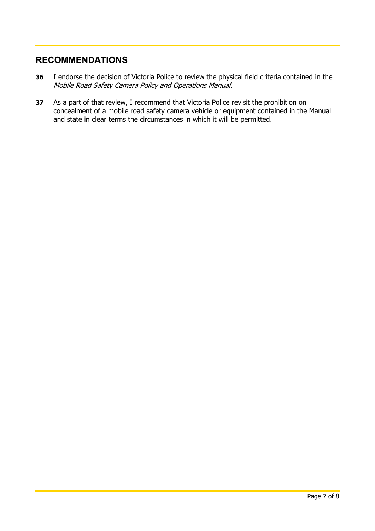## **RECOMMENDATIONS**

- **36** I endorse the decision of Victoria Police to review the physical field criteria contained in the Mobile Road Safety Camera Policy and Operations Manual.
- **37** As a part of that review, I recommend that Victoria Police revisit the prohibition on concealment of a mobile road safety camera vehicle or equipment contained in the Manual and state in clear terms the circumstances in which it will be permitted.